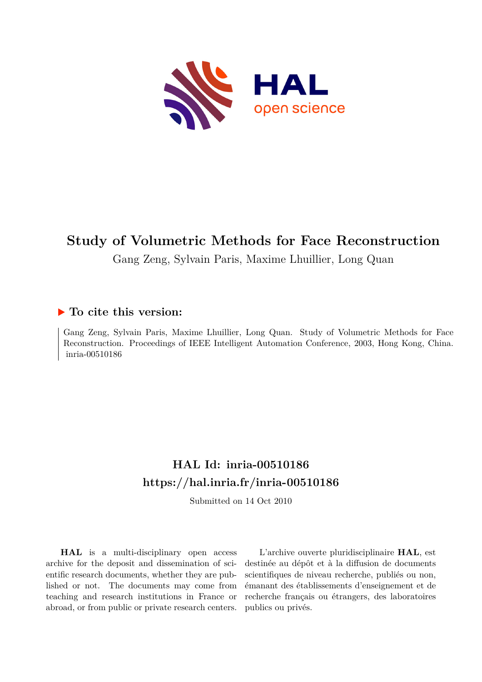

# **Study of Volumetric Methods for Face Reconstruction**

Gang Zeng, Sylvain Paris, Maxime Lhuillier, Long Quan

# **To cite this version:**

Gang Zeng, Sylvain Paris, Maxime Lhuillier, Long Quan. Study of Volumetric Methods for Face Reconstruction. Proceedings of IEEE Intelligent Automation Conference, 2003, Hong Kong, China. inria-00510186

# **HAL Id: inria-00510186 <https://hal.inria.fr/inria-00510186>**

Submitted on 14 Oct 2010

**HAL** is a multi-disciplinary open access archive for the deposit and dissemination of scientific research documents, whether they are published or not. The documents may come from teaching and research institutions in France or abroad, or from public or private research centers.

L'archive ouverte pluridisciplinaire **HAL**, est destinée au dépôt et à la diffusion de documents scientifiques de niveau recherche, publiés ou non, émanant des établissements d'enseignement et de recherche français ou étrangers, des laboratoires publics ou privés.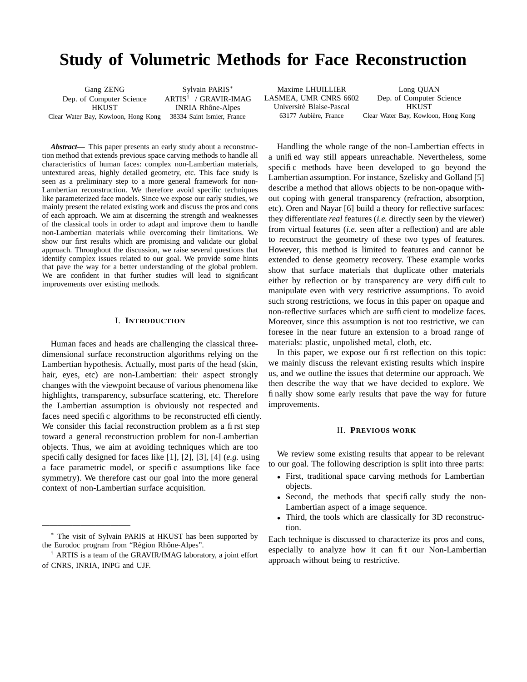# **Study of Volumetric Methods for Face Reconstruction**

| Gang ZENG                           | Sylvain PARIS*                  |
|-------------------------------------|---------------------------------|
| Dep. of Computer Science            | $ARTIS^{\dagger}$ / GRAVIR-IMAG |
| <b>HKUST</b>                        | <b>INRIA Rhône-Alpes</b>        |
| Clear Water Bay, Kowloon, Hong Kong | 38334 Saint Ismier, France      |

*Abstract***—** This paper presents an early study about a reconstruction method that extends previous space carving methods to handle all characteristics of human faces: complex non-Lambertian materials, untextured areas, highly detailed geometry, etc. This face study is seen as a preliminary step to a more general framework for non-Lambertian reconstruction. We therefore avoid specific techniques like parameterized face models. Since we expose our early studies, we mainly present the related existing work and discuss the pros and cons of each approach. We aim at discerning the strength and weaknesses of the classical tools in order to adapt and improve them to handle non-Lambertian materials while overcoming their limitations. We show our first results which are promising and validate our global approach. Throughout the discussion, we raise several questions that identify complex issues related to our goal. We provide some hints that pave the way for a better understanding of the global problem. We are confident in that further studies will lead to significant improvements over existing methods.

### I. **INTRODUCTION**

Human faces and heads are challenging the classical threedimensional surface reconstruction algorithms relying on the Lambertian hypothesis. Actually, most parts of the head (skin, hair, eyes, etc) are non-Lambertian: their aspect strongly changes with the viewpoint because of various phenomena like highlights, transparency, subsurface scattering, etc. Therefore the Lambertian assumption is obviously not respected and faces need specific algorithms to be reconstructed efficiently. We consider this facial reconstruction problem as a first step toward a general reconstruction problem for non-Lambertian objects. Thus, we aim at avoiding techniques which are too specifically designed for faces like [1], [2], [3], [4] (*e.g.* using a face parametric model, or specific assumptions like face symmetry). We therefore cast our goal into the more general context of non-Lambertian surface acquisition.

*———————————–*

LASMEA, UMR CNRS 6602 Université Blaise-Pascal HKUST

Maxime LHUILLIER Long QUAN<br>SMEA, UMR CNRS 6602 Dep. of Computer Science 63177 Aubière, France Clear Water Bay, Kowloon, Hong Kong

Handling the whole range of the non-Lambertian effects in a unified way still appears unreachable. Nevertheless, some specific methods have been developed to go beyond the Lambertian assumption. For instance, Szelisky and Golland [5] describe a method that allows objects to be non-opaque without coping with general transparency (refraction, absorption, etc). Oren and Nayar [6] build a theory for reflective surfaces: they differentiate *real* features (*i.e.* directly seen by the viewer) from virtual features (*i.e.* seen after a reflection) and are able to reconstruct the geometry of these two types of features. However, this method is limited to features and cannot be extended to dense geometry recovery. These example works show that surface materials that duplicate other materials either by reflection or by transparency are very difficult to manipulate even with very restrictive assumptions. To avoid such strong restrictions, we focus in this paper on opaque and non-reflective surfaces which are sufficient to modelize faces. Moreover, since this assumption is not too restrictive, we can foresee in the near future an extension to a broad range of materials: plastic, unpolished metal, cloth, etc.

In this paper, we expose our first reflection on this topic: we mainly discuss the relevant existing results which inspire us, and we outline the issues that determine our approach. We then describe the way that we have decided to explore. We finally show some early results that pave the way for future improvements.

#### II. **PREVIOUS WORK**

We review some existing results that appear to be relevant to our goal. The following description is split into three parts:

- First, traditional space carving methods for Lambertian objects.
- Second, the methods that specifically study the non-Lambertian aspect of a image sequence.
- Third, the tools which are classically for 3D reconstruction.

Each technique is discussed to characterize its pros and cons, especially to analyze how it can fit our Non-Lambertian approach without being to restrictive.

<sup>∗</sup> The visit of Sylvain PARIS at HKUST has been supported by the Eurodoc program from "Région Rhône-Alpes".

<sup>†</sup> ARTIS is a team of the GRAVIR/IMAG laboratory, a joint effort of CNRS, INRIA, INPG and UJF.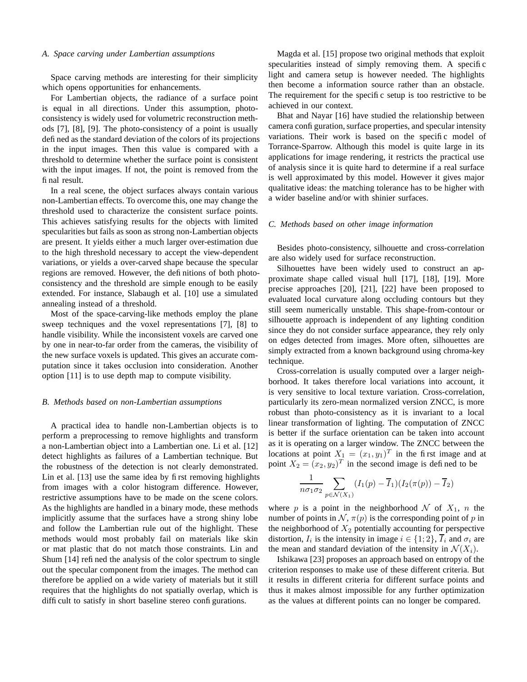#### *A. Space carving under Lambertian assumptions*

Space carving methods are interesting for their simplicity which opens opportunities for enhancements.

For Lambertian objects, the radiance of a surface point is equal in all directions. Under this assumption, photoconsistency is widely used for volumetric reconstruction methods [7], [8], [9]. The photo-consistency of a point is usually defined as the standard deviation of the colors of its projections in the input images. Then this value is compared with a threshold to determine whether the surface point is consistent with the input images. If not, the point is removed from the final result.

In a real scene, the object surfaces always contain various non-Lambertian effects. To overcome this, one may change the threshold used to characterize the consistent surface points. This achieves satisfying results for the objects with limited specularities but fails as soon as strong non-Lambertian objects are present. It yields either a much larger over-estimation due to the high threshold necessary to accept the view-dependent variations, or yields a over-carved shape because the specular regions are removed. However, the definitions of both photoconsistency and the threshold are simple enough to be easily extended. For instance, Slabaugh et al. [10] use a simulated annealing instead of a threshold.

Most of the space-carving-like methods employ the plane sweep techniques and the voxel representations [7], [8] to handle visibility. While the inconsistent voxels are carved one by one in near-to-far order from the cameras, the visibility of the new surface voxels is updated. This gives an accurate computation since it takes occlusion into consideration. Another option [11] is to use depth map to compute visibility.

### *B. Methods based on non-Lambertian assumptions*

A practical idea to handle non-Lambertian objects is to perform a preprocessing to remove highlights and transform a non-Lambertian object into a Lambertian one. Li et al. [12] detect highlights as failures of a Lambertian technique. But the robustness of the detection is not clearly demonstrated. Lin et al. [13] use the same idea by first removing highlights from images with a color histogram difference. However, restrictive assumptions have to be made on the scene colors. As the highlights are handled in a binary mode, these methods implicitly assume that the surfaces have a strong shiny lobe and follow the Lambertian rule out of the highlight. These methods would most probably fail on materials like skin or mat plastic that do not match those constraints. Lin and Shum [14] refined the analysis of the color spectrum to single out the specular component from the images. The method can therefore be applied on a wide variety of materials but it still requires that the highlights do not spatially overlap, which is difficult to satisfy in short baseline stereo configurations.

Magda et al. [15] propose two original methods that exploit specularities instead of simply removing them. A specific light and camera setup is however needed. The highlights then become a information source rather than an obstacle. The requirement for the specific setup is too restrictive to be achieved in our context.

Bhat and Nayar [16] have studied the relationship between camera configuration, surface properties, and specular intensity variations. Their work is based on the specific model of Torrance-Sparrow. Although this model is quite large in its applications for image rendering, it restricts the practical use of analysis since it is quite hard to determine if a real surface is well approximated by this model. However it gives major qualitative ideas: the matching tolerance has to be higher with a wider baseline and/or with shinier surfaces.

#### *C. Methods based on other image information*

Besides photo-consistency, silhouette and cross-correlation are also widely used for surface reconstruction.

Silhouettes have been widely used to construct an approximate shape called visual hull [17], [18], [19]. More precise approaches [20], [21], [22] have been proposed to evaluated local curvature along occluding contours but they still seem numerically unstable. This shape-from-contour or silhouette approach is independent of any lighting condition since they do not consider surface appearance, they rely only on edges detected from images. More often, silhouettes are simply extracted from a known background using chroma-key technique.

Cross-correlation is usually computed over a larger neighborhood. It takes therefore local variations into account, it is very sensitive to local texture variation. Cross-correlation, particularly its zero-mean normalized version ZNCC, is more robust than photo-consistency as it is invariant to a local linear transformation of lighting. The computation of ZNCC is better if the surface orientation can be taken into account as it is operating on a larger window. The ZNCC between the locations at point  $X_1 = (x_1, y_1)^T$  in the first image and at point  $X_2 = (x_2, y_2)^T$  in the second image is defined to be

$$
\frac{1}{n\sigma_1\sigma_2} \sum_{p \in \mathcal{N}(X_1)} (I_1(p) - \overline{I}_1)(I_2(\pi(p)) - \overline{I}_2)
$$

where p is a point in the neighborhood N of  $X_1$ , n the number of points in  $N$ ,  $\pi(p)$  is the corresponding point of p in the neighborhood of  $X_2$  potentially accounting for perspective distortion,  $I_i$  is the intensity in image  $i \in \{1, 2\}$ ,  $\overline{I}_i$  and  $\sigma_i$  are the mean and standard deviation of the intensity in  $\mathcal{N}(X_i)$ .

Ishikawa [23] proposes an approach based on entropy of the criterion responses to make use of these different criteria. But it results in different criteria for different surface points and thus it makes almost impossible for any further optimization as the values at different points can no longer be compared.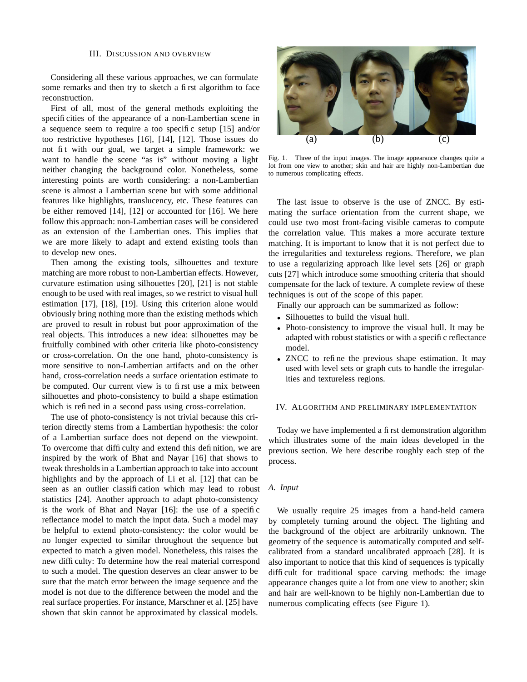#### III. DISCUSSION AND OVERVIEW

Considering all these various approaches, we can formulate some remarks and then try to sketch a first algorithm to face reconstruction.

First of all, most of the general methods exploiting the specificities of the appearance of a non-Lambertian scene in a sequence seem to require a too specific setup [15] and/or too restrictive hypotheses [16], [14], [12]. Those issues do not fit with our goal, we target a simple framework: we want to handle the scene "as is" without moving a light neither changing the background color. Nonetheless, some interesting points are worth considering: a non-Lambertian scene is almost a Lambertian scene but with some additional features like highlights, translucency, etc. These features can be either removed [14], [12] or accounted for [16]. We here follow this approach: non-Lambertian cases will be considered as an extension of the Lambertian ones. This implies that we are more likely to adapt and extend existing tools than to develop new ones.

Then among the existing tools, silhouettes and texture matching are more robust to non-Lambertian effects. However, curvature estimation using silhouettes [20], [21] is not stable enough to be used with real images, so we restrict to visual hull estimation [17], [18], [19]. Using this criterion alone would obviously bring nothing more than the existing methods which are proved to result in robust but poor approximation of the real objects. This introduces a new idea: silhouettes may be fruitfully combined with other criteria like photo-consistency or cross-correlation. On the one hand, photo-consistency is more sensitive to non-Lambertian artifacts and on the other hand, cross-correlation needs a surface orientation estimate to be computed. Our current view is to first use a mix between silhouettes and photo-consistency to build a shape estimation which is refined in a second pass using cross-correlation.

The use of photo-consistency is not trivial because this criterion directly stems from a Lambertian hypothesis: the color of a Lambertian surface does not depend on the viewpoint. To overcome that difficulty and extend this definition, we are inspired by the work of Bhat and Nayar [16] that shows to tweak thresholds in a Lambertian approach to take into account highlights and by the approach of Li et al. [12] that can be seen as an outlier classification which may lead to robust statistics [24]. Another approach to adapt photo-consistency is the work of Bhat and Nayar [16]: the use of a specific reflectance model to match the input data. Such a model may be helpful to extend photo-consistency: the color would be no longer expected to similar throughout the sequence but expected to match a given model. Nonetheless, this raises the new difficulty: To determine how the real material correspond to such a model. The question deserves an clear answer to be sure that the match error between the image sequence and the model is not due to the difference between the model and the real surface properties. For instance, Marschner et al. [25] have shown that skin cannot be approximated by classical models.



Fig. 1. Three of the input images. The image appearance changes quite a lot from one view to another; skin and hair are highly non-Lambertian due to numerous complicating effects.

The last issue to observe is the use of ZNCC. By estimating the surface orientation from the current shape, we could use two most front-facing visible cameras to compute the correlation value. This makes a more accurate texture matching. It is important to know that it is not perfect due to the irregularities and textureless regions. Therefore, we plan to use a regularizing approach like level sets [26] or graph cuts [27] which introduce some smoothing criteria that should compensate for the lack of texture. A complete review of these techniques is out of the scope of this paper.

Finally our approach can be summarized as follow:

- Silhouettes to build the visual hull.
- Photo-consistency to improve the visual hull. It may be adapted with robust statistics or with a specific reflectance model.
- ZNCC to refine the previous shape estimation. It may used with level sets or graph cuts to handle the irregularities and textureless regions.

#### IV. ALGORITHM AND PRELIMINARY IMPLEMENTATION

Today we have implemented a first demonstration algorithm which illustrates some of the main ideas developed in the previous section. We here describe roughly each step of the process.

# *A. Input*

We usually require 25 images from a hand-held camera by completely turning around the object. The lighting and the background of the object are arbitrarily unknown. The geometry of the sequence is automatically computed and selfcalibrated from a standard uncalibrated approach [28]. It is also important to notice that this kind of sequences is typically difficult for traditional space carving methods: the image appearance changes quite a lot from one view to another; skin and hair are well-known to be highly non-Lambertian due to numerous complicating effects (see Figure 1).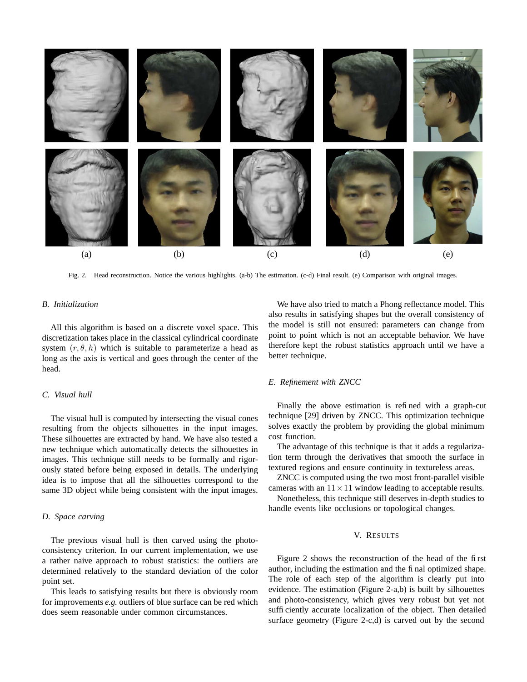

Fig. 2. Head reconstruction. Notice the various highlights. (a-b) The estimation. (c-d) Final result. (e) Comparison with original images.

### *B. Initialization*

All this algorithm is based on a discrete voxel space. This discretization takes place in the classical cylindrical coordinate system  $(r, \theta, h)$  which is suitable to parameterize a head as long as the axis is vertical and goes through the center of the head.

# *C. Visual hull*

The visual hull is computed by intersecting the visual cones resulting from the objects silhouettes in the input images. These silhouettes are extracted by hand. We have also tested a new technique which automatically detects the silhouettes in images. This technique still needs to be formally and rigorously stated before being exposed in details. The underlying idea is to impose that all the silhouettes correspond to the same 3D object while being consistent with the input images.

# *D. Space carving*

The previous visual hull is then carved using the photoconsistency criterion. In our current implementation, we use a rather naive approach to robust statistics: the outliers are determined relatively to the standard deviation of the color point set.

This leads to satisfying results but there is obviously room for improvements *e.g.* outliers of blue surface can be red which does seem reasonable under common circumstances.

We have also tried to match a Phong reflectance model. This also results in satisfying shapes but the overall consistency of the model is still not ensured: parameters can change from point to point which is not an acceptable behavior. We have therefore kept the robust statistics approach until we have a better technique.

### *E. Refinement with ZNCC*

Finally the above estimation is refined with a graph-cut technique [29] driven by ZNCC. This optimization technique solves exactly the problem by providing the global minimum cost function.

The advantage of this technique is that it adds a regularization term through the derivatives that smooth the surface in textured regions and ensure continuity in textureless areas.

ZNCC is computed using the two most front-parallel visible cameras with an  $11 \times 11$  window leading to acceptable results.

Nonetheless, this technique still deserves in-depth studies to handle events like occlusions or topological changes.

# V. RESULTS

Figure 2 shows the reconstruction of the head of the first author, including the estimation and the final optimized shape. The role of each step of the algorithm is clearly put into evidence. The estimation (Figure 2-a,b) is built by silhouettes and photo-consistency, which gives very robust but yet not sufficiently accurate localization of the object. Then detailed surface geometry (Figure 2-c,d) is carved out by the second